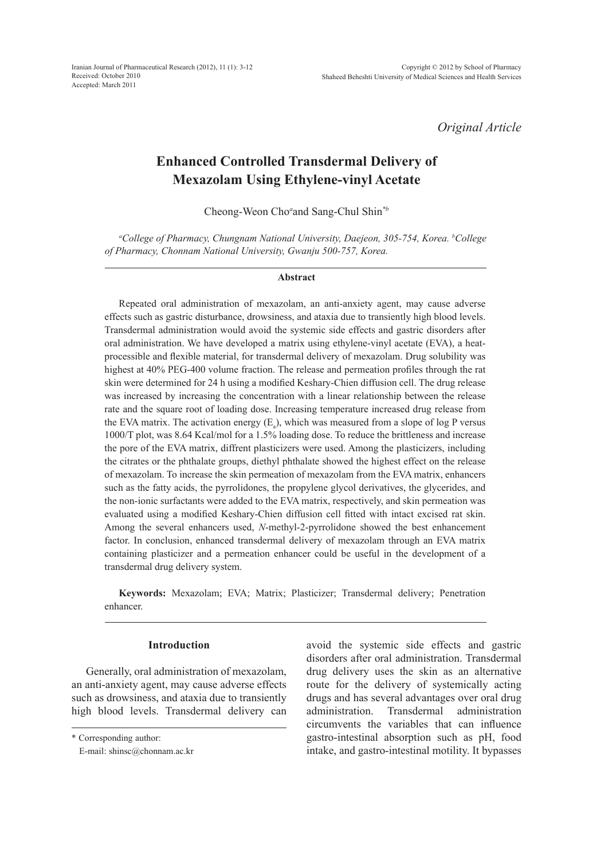Iranian Journal of Pharmaceutical Research (2012), 11 (1): 3-12 Received: October 2010 Accepted: March 2011

*Original Article*

# **Enhanced Controlled Transdermal Delivery of Mexazolam Using Ethylene-vinyl Acetate**

Cheong-Weon Cho*<sup>a</sup>* and Sang-Chul Shin*\*b*

*a College of Pharmacy, Chungnam National University, Daejeon, 305-754, Korea. b College of Pharmacy, Chonnam National University, Gwanju 500-757, Korea.*

#### **Abstract**

Repeated oral administration of mexazolam, an anti-anxiety agent, may cause adverse effects such as gastric disturbance, drowsiness, and ataxia due to transiently high blood levels. Transdermal administration would avoid the systemic side effects and gastric disorders after oral administration. We have developed a matrix using ethylene-vinyl acetate (EVA), a heatprocessible and flexible material, for transdermal delivery of mexazolam. Drug solubility was highest at 40% PEG-400 volume fraction. The release and permeation profiles through the rat skin were determined for 24 h using a modified Keshary-Chien diffusion cell. The drug release was increased by increasing the concentration with a linear relationship between the release rate and the square root of loading dose. Increasing temperature increased drug release from the EVA matrix. The activation energy  $(E_a)$ , which was measured from a slope of log P versus 1000/T plot, was 8.64 Kcal/mol for a 1.5% loading dose. To reduce the brittleness and increase the pore of the EVA matrix, diffrent plasticizers were used. Among the plasticizers, including the citrates or the phthalate groups, diethyl phthalate showed the highest effect on the release of mexazolam. To increase the skin permeation of mexazolam from the EVA matrix, enhancers such as the fatty acids, the pyrrolidones, the propylene glycol derivatives, the glycerides, and the non-ionic surfactants were added to the EVA matrix, respectively, and skin permeation was evaluated using a modified Keshary-Chien diffusion cell fitted with intact excised rat skin. Among the several enhancers used, *N*-methyl-2-pyrrolidone showed the best enhancement factor. In conclusion, enhanced transdermal delivery of mexazolam through an EVA matrix containing plasticizer and a permeation enhancer could be useful in the development of a transdermal drug delivery system.

**Keywords:** Mexazolam; EVA; Matrix; Plasticizer; Transdermal delivery; Penetration enhancer.

# **Introduction**

Generally, oral administration of mexazolam, an anti-anxiety agent, may cause adverse effects such as drowsiness, and ataxia due to transiently high blood levels. Transdermal delivery can

avoid the systemic side effects and gastric disorders after oral administration. Transdermal drug delivery uses the skin as an alternative route for the delivery of systemically acting drugs and has several advantages over oral drug administration. Transdermal administration circumvents the variables that can influence gastro-intestinal absorption such as pH, food intake, and gastro-intestinal motility. It bypasses

<sup>\*</sup> Corresponding author:

E-mail: shinsc@chonnam.ac.kr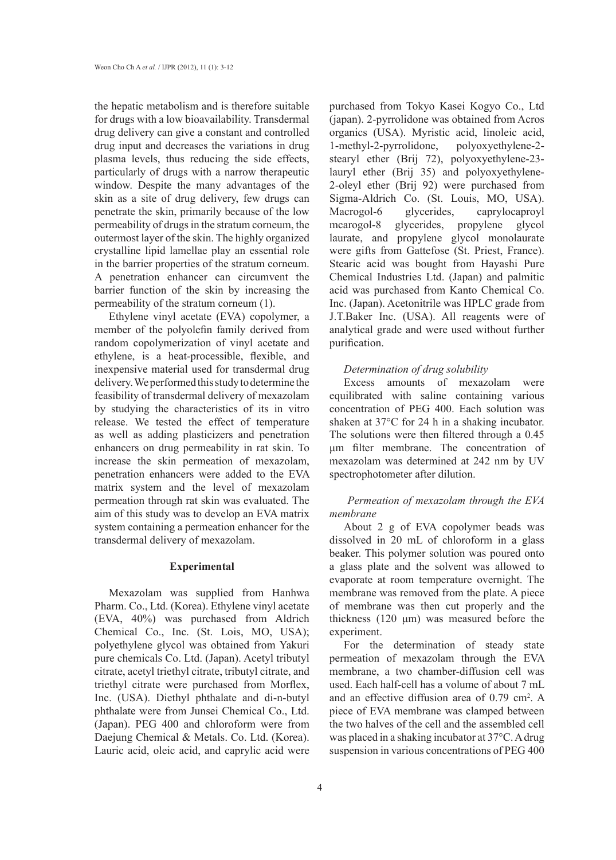the hepatic metabolism and is therefore suitable for drugs with a low bioavailability. Transdermal drug delivery can give a constant and controlled drug input and decreases the variations in drug plasma levels, thus reducing the side effects, particularly of drugs with a narrow therapeutic window. Despite the many advantages of the skin as a site of drug delivery, few drugs can penetrate the skin, primarily because of the low permeability of drugs in the stratum corneum, the outermost layer of the skin. The highly organized crystalline lipid lamellae play an essential role in the barrier properties of the stratum corneum. A penetration enhancer can circumvent the barrier function of the skin by increasing the permeability of the stratum corneum (1).

Ethylene vinyl acetate (EVA) copolymer, a member of the polyolefin family derived from random copolymerization of vinyl acetate and ethylene, is a heat-processible, flexible, and inexpensive material used for transdermal drug delivery. We performed this study to determine the feasibility of transdermal delivery of mexazolam by studying the characteristics of its in vitro release. We tested the effect of temperature as well as adding plasticizers and penetration enhancers on drug permeability in rat skin. To increase the skin permeation of mexazolam, penetration enhancers were added to the EVA matrix system and the level of mexazolam permeation through rat skin was evaluated. The aim of this study was to develop an EVA matrix system containing a permeation enhancer for the transdermal delivery of mexazolam.

#### **Experimental**

Mexazolam was supplied from Hanhwa Pharm. Co., Ltd. (Korea). Ethylene vinyl acetate (EVA, 40%) was purchased from Aldrich Chemical Co., Inc. (St. Lois, MO, USA); polyethylene glycol was obtained from Yakuri pure chemicals Co. Ltd. (Japan). Acetyl tributyl citrate, acetyl triethyl citrate, tributyl citrate, and triethyl citrate were purchased from Morflex, Inc. (USA). Diethyl phthalate and di-n-butyl phthalate were from Junsei Chemical Co., Ltd. (Japan). PEG 400 and chloroform were from Daejung Chemical & Metals. Co. Ltd. (Korea). Lauric acid, oleic acid, and caprylic acid were

purchased from Tokyo Kasei Kogyo Co., Ltd (japan). 2-pyrrolidone was obtained from Acros organics (USA). Myristic acid, linoleic acid, 1-methyl-2-pyrrolidone, polyoxyethylene-2 stearyl ether (Brij 72), polyoxyethylene-23 lauryl ether (Brij 35) and polyoxyethylene-2-oleyl ether (Brij 92) were purchased from Sigma-Aldrich Co. (St. Louis, MO, USA). Macrogol-6 glycerides, caprylocaproyl mcarogol-8 glycerides, propylene glycol laurate, and propylene glycol monolaurate were gifts from Gattefose (St. Priest, France). Stearic acid was bought from Hayashi Pure Chemical Industries Ltd. (Japan) and palmitic acid was purchased from Kanto Chemical Co. Inc. (Japan). Acetonitrile was HPLC grade from J.T.Baker Inc. (USA). All reagents were of analytical grade and were used without further purification.

#### *Determination of drug solubility*

Excess amounts of mexazolam were equilibrated with saline containing various concentration of PEG 400. Each solution was shaken at 37°C for 24 h in a shaking incubator. The solutions were then filtered through a 0.45 μm filter membrane. The concentration of mexazolam was determined at 242 nm by UV spectrophotometer after dilution.

# *Permeation of mexazolam through the EVA membrane*

About 2 g of EVA copolymer beads was dissolved in 20 mL of chloroform in a glass beaker. This polymer solution was poured onto a glass plate and the solvent was allowed to evaporate at room temperature overnight. The membrane was removed from the plate. A piece of membrane was then cut properly and the thickness (120 μm) was measured before the experiment.

For the determination of steady state permeation of mexazolam through the EVA membrane, a two chamber-diffusion cell was used. Each half-cell has a volume of about 7 mL and an effective diffusion area of 0.79 cm<sup>2</sup>. A piece of EVA membrane was clamped between the two halves of the cell and the assembled cell was placed in a shaking incubator at 37°C. A drug suspension in various concentrations of PEG 400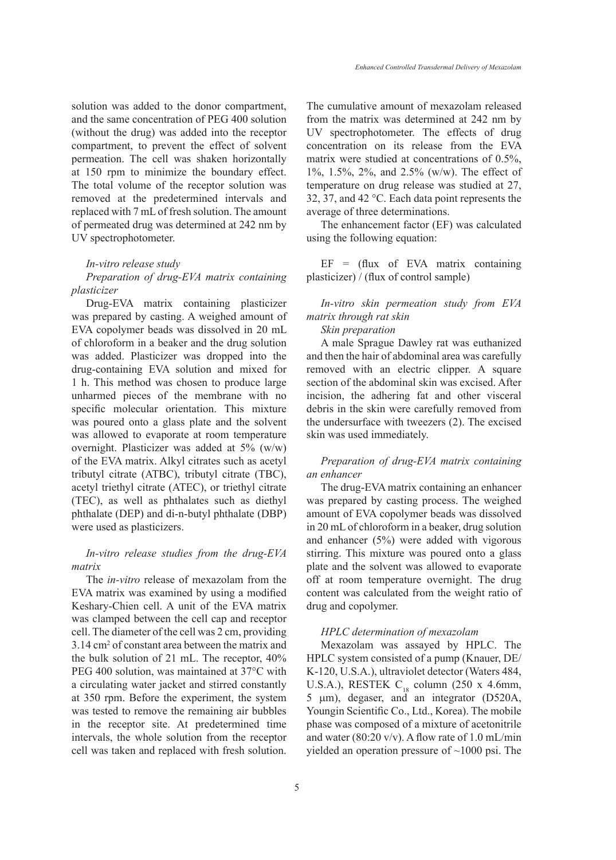solution was added to the donor compartment, and the same concentration of PEG 400 solution (without the drug) was added into the receptor compartment, to prevent the effect of solvent permeation. The cell was shaken horizontally at 150 rpm to minimize the boundary effect. The total volume of the receptor solution was removed at the predetermined intervals and replaced with 7 mL of fresh solution. The amount of permeated drug was determined at 242 nm by UV spectrophotometer.

#### *In-vitro release study*

*Preparation of drug-EVA matrix containing plasticizer* 

Drug-EVA matrix containing plasticizer was prepared by casting. A weighed amount of EVA copolymer beads was dissolved in 20 mL of chloroform in a beaker and the drug solution was added. Plasticizer was dropped into the drug-containing EVA solution and mixed for 1 h. This method was chosen to produce large unharmed pieces of the membrane with no specific molecular orientation. This mixture was poured onto a glass plate and the solvent was allowed to evaporate at room temperature overnight. Plasticizer was added at 5% (w/w) of the EVA matrix. Alkyl citrates such as acetyl tributyl citrate (ATBC), tributyl citrate (TBC), acetyl triethyl citrate (ATEC), or triethyl citrate (TEC), as well as phthalates such as diethyl phthalate (DEP) and di-n-butyl phthalate (DBP) were used as plasticizers.

# *In-vitro release studies from the drug-EVA matrix*

The *in-vitro* release of mexazolam from the EVA matrix was examined by using a modified Keshary-Chien cell. A unit of the EVA matrix was clamped between the cell cap and receptor cell. The diameter of the cell was 2 cm, providing 3.14 cm2 of constant area between the matrix and the bulk solution of 21 mL. The receptor, 40% PEG 400 solution, was maintained at 37°C with a circulating water jacket and stirred constantly at 350 rpm. Before the experiment, the system was tested to remove the remaining air bubbles in the receptor site. At predetermined time intervals, the whole solution from the receptor cell was taken and replaced with fresh solution.

The cumulative amount of mexazolam released from the matrix was determined at 242 nm by UV spectrophotometer. The effects of drug concentration on its release from the EVA matrix were studied at concentrations of 0.5%, 1%, 1.5%, 2%, and 2.5% (w/w). The effect of temperature on drug release was studied at 27, 32, 37, and 42 °C. Each data point represents the average of three determinations.

The enhancement factor (EF) was calculated using the following equation:

 $EF = (flux of EVA matrix containing$ plasticizer) / (flux of control sample)

*In-vitro skin permeation study from EVA matrix through rat skin* 

*Skin preparation* 

A male Sprague Dawley rat was euthanized and then the hair of abdominal area was carefully removed with an electric clipper. A square section of the abdominal skin was excised. After incision, the adhering fat and other visceral debris in the skin were carefully removed from the undersurface with tweezers (2). The excised skin was used immediately.

### *Preparation of drug-EVA matrix containing an enhancer*

The drug-EVA matrix containing an enhancer was prepared by casting process. The weighed amount of EVA copolymer beads was dissolved in 20 mL of chloroform in a beaker, drug solution and enhancer (5%) were added with vigorous stirring. This mixture was poured onto a glass plate and the solvent was allowed to evaporate off at room temperature overnight. The drug content was calculated from the weight ratio of drug and copolymer.

### *HPLC determination of mexazolam*

Mexazolam was assayed by HPLC. The HPLC system consisted of a pump (Knauer, DE/ K-120, U.S.A.), ultraviolet detector (Waters 484, U.S.A.), RESTEK  $C_{18}$  column (250 x 4.6mm, 5 µm), degaser, and an integrator (D520A, Youngin Scientific Co., Ltd., Korea). The mobile phase was composed of a mixture of acetonitrile and water (80:20 v/v). A flow rate of 1.0 mL/min yielded an operation pressure of ~1000 psi. The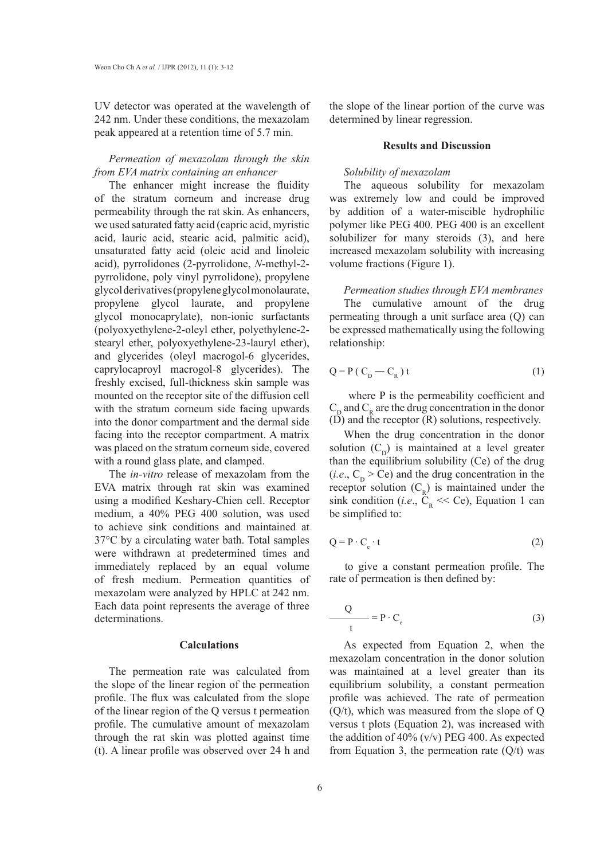UV detector was operated at the wavelength of 242 nm. Under these conditions, the mexazolam peak appeared at a retention time of 5.7 min.

# *Permeation of mexazolam through the skin from EVA matrix containing an enhancer*

The enhancer might increase the fluidity of the stratum corneum and increase drug permeability through the rat skin. As enhancers, we used saturated fatty acid (capric acid, myristic acid, lauric acid, stearic acid, palmitic acid), unsaturated fatty acid (oleic acid and linoleic acid), pyrrolidones (2-pyrrolidone, *N*-methyl-2 pyrrolidone, poly vinyl pyrrolidone), propylene glycol derivatives (propylene glycol monolaurate, propylene glycol laurate, and propylene glycol monocaprylate), non-ionic surfactants (polyoxyethylene-2-oleyl ether, polyethylene-2 stearyl ether, polyoxyethylene-23-lauryl ether), and glycerides (oleyl macrogol-6 glycerides, caprylocaproyl macrogol-8 glycerides). The freshly excised, full-thickness skin sample was mounted on the receptor site of the diffusion cell with the stratum corneum side facing upwards into the donor compartment and the dermal side facing into the receptor compartment. A matrix was placed on the stratum corneum side, covered with a round glass plate, and clamped.

The *in-vitro* release of mexazolam from the EVA matrix through rat skin was examined using a modified Keshary-Chien cell. Receptor medium, a 40% PEG 400 solution, was used to achieve sink conditions and maintained at 37°C by a circulating water bath. Total samples were withdrawn at predetermined times and immediately replaced by an equal volume of fresh medium. Permeation quantities of mexazolam were analyzed by HPLC at 242 nm. Each data point represents the average of three determinations.

## **Calculations**

The permeation rate was calculated from the slope of the linear region of the permeation profile. The flux was calculated from the slope of the linear region of the Q versus t permeation profile. The cumulative amount of mexazolam through the rat skin was plotted against time (t). A linear profile was observed over 24 h and the slope of the linear portion of the curve was determined by linear regression.

#### **Results and Discussion**

### *Solubility of mexazolam*

The aqueous solubility for mexazolam was extremely low and could be improved by addition of a water-miscible hydrophilic polymer like PEG 400. PEG 400 is an excellent solubilizer for many steroids (3), and here increased mexazolam solubility with increasing volume fractions (Figure 1).

*Permeation studies through EVA membranes*  The cumulative amount of the drug permeating through a unit surface area (Q) can be expressed mathematically using the following relationship:

$$
Q = P(C_D - C_R) t
$$
 (1)

 where P is the permeability coefficient and  $C_p$  and  $C_R$  are the drug concentration in the donor  $(D)$  and the receptor  $(R)$  solutions, respectively.

When the drug concentration in the donor solution  $(C_p)$  is maintained at a level greater than the equilibrium solubility (Ce) of the drug (*i.e.*,  $C_D$  > Ce) and the drug concentration in the receptor solution  $(C_R)$  is maintained under the sink condition (*i.e.*,  $\hat{C}_R \ll Ce$ ), Equation 1 can be simplified to:

$$
Q = P \cdot C_e \cdot t \tag{2}
$$

to give a constant permeation profile. The rate of permeation is then defined by:

$$
\frac{Q}{t} = P \cdot C_e \tag{3}
$$

As expected from Equation 2, when the mexazolam concentration in the donor solution was maintained at a level greater than its equilibrium solubility, a constant permeation profile was achieved. The rate of permeation (Q/t), which was measured from the slope of Q versus t plots (Equation 2), was increased with the addition of  $40\%$  (v/v) PEG 400. As expected from Equation 3, the permeation rate  $(Q/t)$  was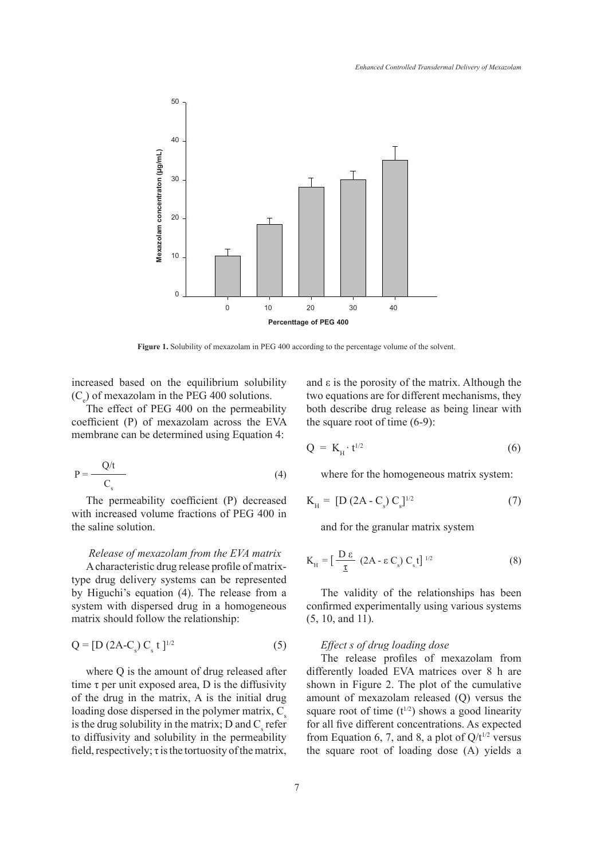

**Figure 1.** Solubility of mexazolam in PEG 400 according to the percentage volume of the solvent.

increased based on the equilibrium solubility  $(C_e)$  of mexazolam in the PEG 400 solutions.

The effect of PEG 400 on the permeability coefficient (P) of mexazolam across the EVA membrane can be determined using Equation 4:

$$
P = \frac{Q/t}{C_s} \tag{4}
$$

The permeability coefficient (P) decreased with increased volume fractions of PEG 400 in the saline solution.

### *Release of mexazolam from the EVA matrix*

A characteristic drug release profile of matrixtype drug delivery systems can be represented by Higuchi's equation (4). The release from a system with dispersed drug in a homogeneous matrix should follow the relationship:

$$
Q = [D (2A-Cs) Cs t ]1/2
$$
 (5)

where Q is the amount of drug released after time  $\tau$  per unit exposed area, D is the diffusivity of the drug in the matrix, A is the initial drug loading dose dispersed in the polymer matrix,  $C_s$ is the drug solubility in the matrix; D and  $C_s$  refer to diffusivity and solubility in the permeability field, respectively;  $\tau$  is the tortuosity of the matrix,

and  $\varepsilon$  is the porosity of the matrix. Although the two equations are for different mechanisms, they both describe drug release as being linear with the square root of time (6-9):

$$
Q = K_{H} \cdot t^{1/2} \tag{6}
$$

where for the homogeneous matrix system:

$$
K_{\rm H} = [D (2A - C_s) C_s]^{1/2}
$$
 (7)

and for the granular matrix system

$$
K_{\rm H} = \left[\frac{D\,\epsilon}{\underline{\tau}} \,\left(2A - \epsilon\,C_{\rm s}\right)C_{\rm s}\,\mathrm{t}\right]^{1/2} \tag{8}
$$

The validity of the relationships has been confirmed experimentally using various systems (5, 10, and 11).

## *Effect s of drug loading dose*

The release profiles of mexazolam from differently loaded EVA matrices over 8 h are shown in Figure 2. The plot of the cumulative amount of mexazolam released (Q) versus the square root of time  $(t^{1/2})$  shows a good linearity for all five different concentrations. As expected from Equation 6, 7, and 8, a plot of  $Q/t^{1/2}$  versus the square root of loading dose (A) yields a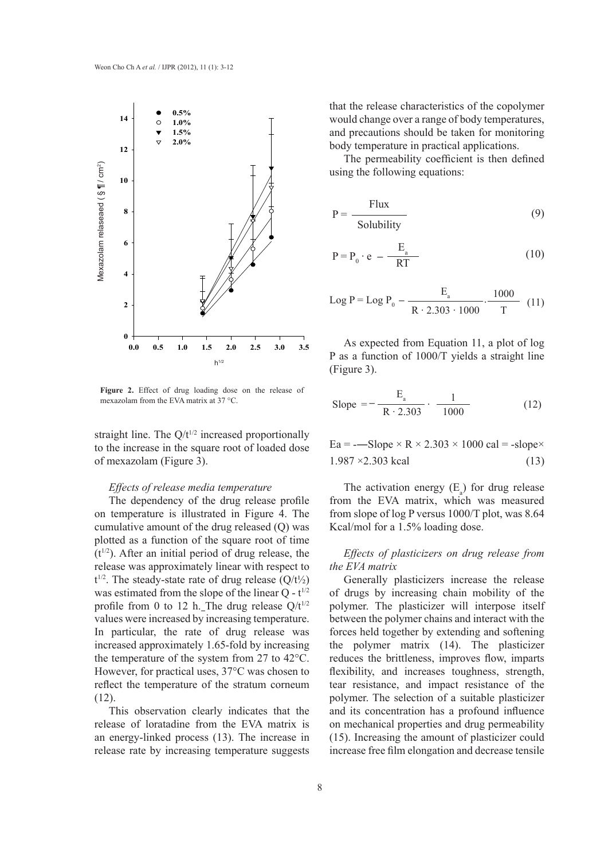

**Figure 2.** Effect of drug loading dose on the release of

straight line. The  $Q/t^{1/2}$  increased proportionally to the increase in the square root of loaded dose of mexazolam (Figure 3).

# *Effects of release media temperature*

The dependency of the drug release profile on temperature is illustrated in Figure 4. The cumulative amount of the drug released (Q) was plotted as a function of the square root of time  $(t^{1/2})$ . After an initial period of drug release, the release was approximately linear with respect to  $t^{1/2}$ . The steady-state rate of drug release  $(Q/t^{1/2})$ was estimated from the slope of the linear  $Q - t^{1/2}$ profile from 0 to 12 h. The drug release  $Q/t^{1/2}$ values were increased by increasing temperature. In particular, the rate of drug release was increased approximately 1.65-fold by increasing the temperature of the system from 27 to 42°C. However, for practical uses, 37°C was chosen to reflect the temperature of the stratum corneum (12).

This observation clearly indicates that the release of loratadine from the EVA matrix is an energy-linked process (13). The increase in release rate by increasing temperature suggests that the release characteristics of the copolymer would change over a range of body temperatures, and precautions should be taken for monitoring body temperature in practical applications.

The permeability coefficient is then defined using the following equations:

$$
P = \frac{Flux}{Solubility}
$$
 (9)

$$
P = P_0 \cdot e - \frac{E_a}{RT}
$$
 (10)

Log P = Log P<sub>0</sub> - 
$$
\frac{E_a}{R \cdot 2.303 \cdot 1000} \cdot \frac{1000}{T}
$$
 (11)

As expected from Equation 11, a plot of log P as a function of 1000/T yields a straight line (Figure 3).

Slope 
$$
= -\frac{E_a}{R \cdot 2.303} \cdot \frac{1}{1000}
$$
 (12)

 $Ea = -Slope \times R \times 2.303 \times 1000 \text{ cal} = -slope \times$  $1.987 \times 2.303$  kcal (13)

The activation energy  $(E_a)$  for drug release from the EVA matrix, which was measured from slope of log P versus 1000/T plot, was 8.64 Kcal/mol for a 1.5% loading dose.

# *Effects of plasticizers on drug release from the EVA matrix*

Generally plasticizers increase the release of drugs by increasing chain mobility of the polymer. The plasticizer will interpose itself between the polymer chains and interact with the forces held together by extending and softening the polymer matrix (14). The plasticizer reduces the brittleness, improves flow, imparts flexibility, and increases toughness, strength, tear resistance, and impact resistance of the polymer. The selection of a suitable plasticizer and its concentration has a profound influence on mechanical properties and drug permeability (15). Increasing the amount of plasticizer could increase free film elongation and decrease tensile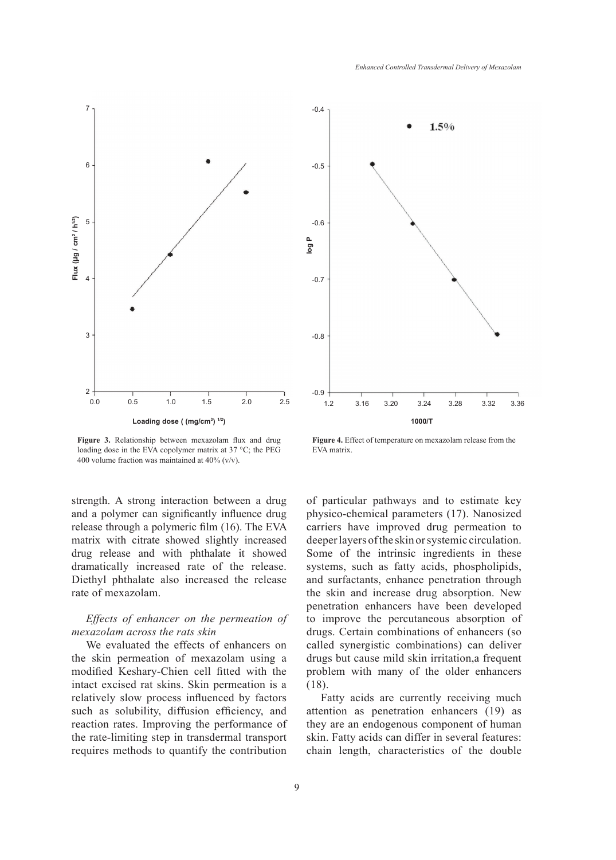

**Figure 3.** Relationship between mexazolam flux and drug loading dose in the EVA copolymer matrix at 37 °C; the PEG 400 volume fraction was maintained at 40% (v/v).

strength. A strong interaction between a drug and a polymer can significantly influence drug release through a polymeric film (16). The EVA matrix with citrate showed slightly increased drug release and with phthalate it showed dramatically increased rate of the release. Diethyl phthalate also increased the release rate of mexazolam.

# *Effects of enhancer on the permeation of mexazolam across the rats skin*

We evaluated the effects of enhancers on the skin permeation of mexazolam using a modified Keshary-Chien cell fitted with the intact excised rat skins. Skin permeation is a relatively slow process influenced by factors such as solubility, diffusion efficiency, and reaction rates. Improving the performance of the rate-limiting step in transdermal transport requires methods to quantify the contribution



**Figure 4.** Effect of temperature on mexazolam release from the EVA matrix.

of particular pathways and to estimate key physico-chemical parameters (17). Nanosized carriers have improved drug permeation to deeper layers of the skin or systemic circulation. Some of the intrinsic ingredients in these systems, such as fatty acids, phospholipids, and surfactants, enhance penetration through the skin and increase drug absorption. New penetration enhancers have been developed to improve the percutaneous absorption of drugs. Certain combinations of enhancers (so called synergistic combinations) can deliver drugs but cause mild skin irritation,a frequent problem with many of the older enhancers (18).

Fatty acids are currently receiving much attention as penetration enhancers (19) as they are an endogenous component of human skin. Fatty acids can differ in several features: chain length, characteristics of the double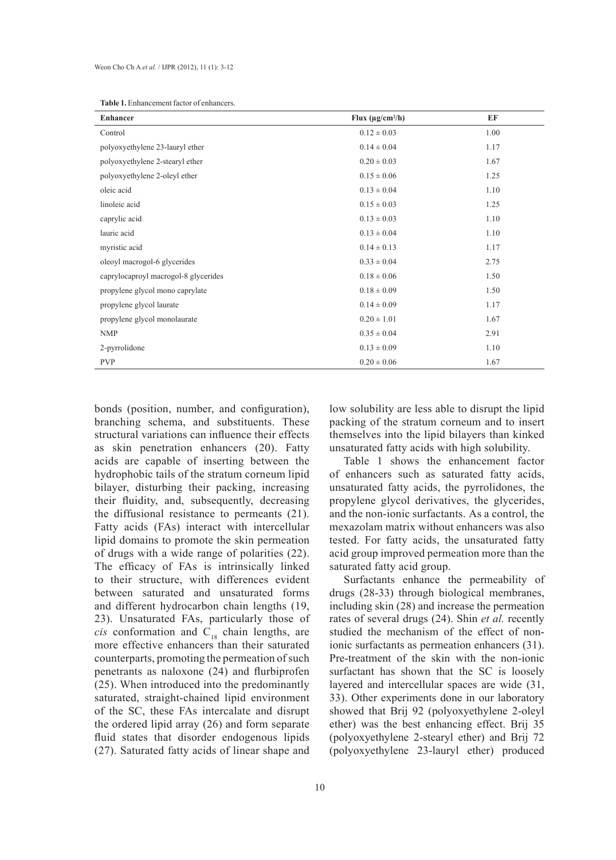| <b>Table 1.</b> Enhancement factor of enhancers. |  |
|--------------------------------------------------|--|
|--------------------------------------------------|--|

| <b>Enhancer</b>                      | Flux $(\mu g/cm^2/h)$ | EF   |
|--------------------------------------|-----------------------|------|
| Control                              | $0.12 \pm 0.03$       | 1.00 |
| polyoxyethylene 23-lauryl ether      | $0.14 \pm 0.04$       | 1.17 |
| polyoxyethylene 2-stearyl ether      | $0.20 \pm 0.03$       | 1.67 |
| polyoxyethylene 2-oleyl ether        | $0.15 \pm 0.06$       | 1.25 |
| oleic acid                           | $0.13 \pm 0.04$       | 1.10 |
| linoleic acid                        | $0.15 \pm 0.03$       | 1.25 |
| caprylic acid                        | $0.13 \pm 0.03$       | 1.10 |
| lauric acid                          | $0.13 \pm 0.04$       | 1.10 |
| myristic acid                        | $0.14 \pm 0.13$       | 1.17 |
| oleoyl macrogol-6 glycerides         | $0.33 \pm 0.04$       | 2.75 |
| caprylocaproyl macrogol-8 glycerides | $0.18 \pm 0.06$       | 1.50 |
| propylene glycol mono caprylate      | $0.18 \pm 0.09$       | 1.50 |
| propylene glycol laurate             | $0.14 \pm 0.09$       | 1.17 |
| propylene glycol monolaurate         | $0.20 \pm 1.01$       | 1.67 |
| <b>NMP</b>                           | $0.35 \pm 0.04$       | 2.91 |
| 2-pyrrolidone                        | $0.13 \pm 0.09$       | 1.10 |
| <b>PVP</b>                           | $0.20 \pm 0.06$       | 1.67 |

bonds (position, number, and configuration), branching schema, and substituents. These structural variations can influence their effects as skin penetration enhancers (20). Fatty acids are capable of inserting between the hydrophobic tails of the stratum corneum lipid bilayer, disturbing their packing, increasing their fluidity, and, subsequently, decreasing the diffusional resistance to permeants (21). Fatty acids (FAs) interact with intercellular lipid domains to promote the skin permeation of drugs with a wide range of polarities (22). The efficacy of FAs is intrinsically linked to their structure, with differences evident between saturated and unsaturated forms and different hydrocarbon chain lengths (19, 23). Unsaturated FAs, particularly those of *cis* conformation and  $C_{18}$  chain lengths, are more effective enhancers than their saturated counterparts, promoting the permeation of such penetrants as naloxone (24) and flurbiprofen (25). When introduced into the predominantly saturated, straight-chained lipid environment of the SC, these FAs intercalate and disrupt the ordered lipid array (26) and form separate fluid states that disorder endogenous lipids (27). Saturated fatty acids of linear shape and

low solubility are less able to disrupt the lipid packing of the stratum corneum and to insert themselves into the lipid bilayers than kinked unsaturated fatty acids with high solubility.

Table 1 shows the enhancement factor of enhancers such as saturated fatty acids, unsaturated fatty acids, the pyrrolidones, the propylene glycol derivatives, the glycerides, and the non-ionic surfactants. As a control, the mexazolam matrix without enhancers was also tested. For fatty acids, the unsaturated fatty acid group improved permeation more than the saturated fatty acid group.

Surfactants enhance the permeability of drugs (28-33) through biological membranes, including skin (28) and increase the permeation rates of several drugs (24). Shin *et al.* recently studied the mechanism of the effect of nonionic surfactants as permeation enhancers (31). Pre-treatment of the skin with the non-ionic surfactant has shown that the SC is loosely layered and intercellular spaces are wide (31, 33). Other experiments done in our laboratory showed that Brij 92 (polyoxyethylene 2-oleyl ether) was the best enhancing effect. Brij 35 (polyoxyethylene 2-stearyl ether) and Brij 72 (polyoxyethylene 23-lauryl ether) produced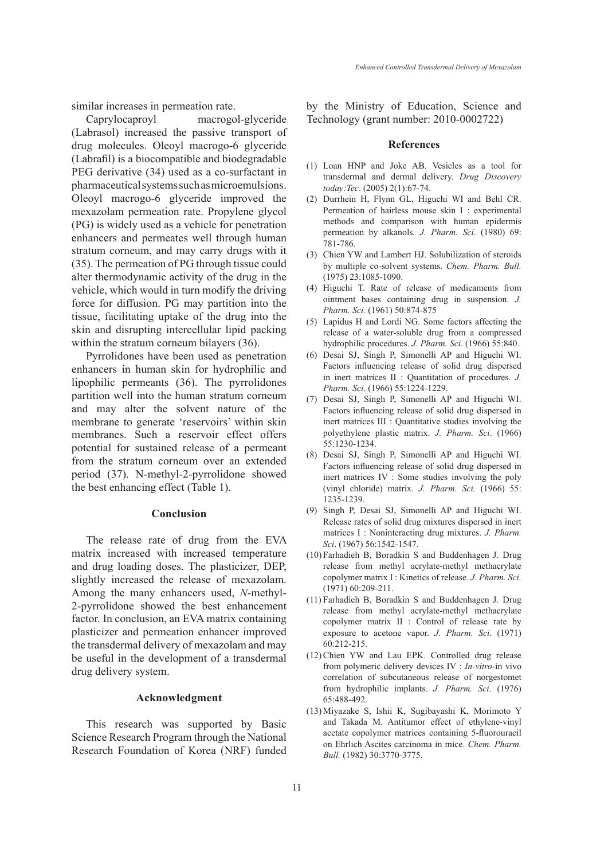similar increases in permeation rate.

Caprylocaproyl macrogol-glyceride (Labrasol) increased the passive transport of drug molecules. Oleoyl macrogo-6 glyceride (Labrafil) is a biocompatible and biodegradable PEG derivative (34) used as a co-surfactant in pharmaceutical systems such as microemulsions. Oleoyl macrogo-6 glyceride improved the mexazolam permeation rate. Propylene glycol (PG) is widely used as a vehicle for penetration enhancers and permeates well through human stratum corneum, and may carry drugs with it (35). The permeation of PG through tissue could alter thermodynamic activity of the drug in the vehicle, which would in turn modify the driving force for diffusion. PG may partition into the tissue, facilitating uptake of the drug into the skin and disrupting intercellular lipid packing within the stratum corneum bilayers (36).

Pyrrolidones have been used as penetration enhancers in human skin for hydrophilic and lipophilic permeants (36). The pyrrolidones partition well into the human stratum corneum and may alter the solvent nature of the membrane to generate 'reservoirs' within skin membranes. Such a reservoir effect offers potential for sustained release of a permeant from the stratum corneum over an extended period (37). N-methyl-2-pyrrolidone showed the best enhancing effect (Table 1).

## **Conclusion**

The release rate of drug from the EVA matrix increased with increased temperature and drug loading doses. The plasticizer, DEP, slightly increased the release of mexazolam. Among the many enhancers used, *N*-methyl-2-pyrrolidone showed the best enhancement factor. In conclusion, an EVA matrix containing plasticizer and permeation enhancer improved the transdermal delivery of mexazolam and may be useful in the development of a transdermal drug delivery system.

### **Acknowledgment**

This research was supported by Basic Science Research Program through the National Research Foundation of Korea (NRF) funded by the Ministry of Education, Science and Technology (grant number: 2010-0002722)

#### **References**

- Loan HNP and Joke AB. Vesicles as a tool for (1) transdermal and dermal delivery. *Drug Discovery today:Tec*. (2005) 2(1):67-74.
- (2) Durrhein H, Flynn GL, Higuchi WI and Behl CR. Permeation of hairless mouse skin I : experimental methods and comparison with human epidermis permeation by alkanols*. J. Pharm. Sci*. (1980) 69: 781-786.
- Chien YW and Lambert HJ. Solubilization of steroids (3) by multiple co-solvent systems. *Chem. Pharm. Bull.* (1975) 23:1085-1090.
- (4) Higuchi T. Rate of release of medicaments from ointment bases containing drug in suspension. *J. Pharm. Sci.* (1961) 50:874-875
- Lapidus H and Lordi NG. Some factors affecting the (5) release of a water-soluble drug from a compressed hydrophilic procedures. *J. Pharm. Sci*. (1966) 55:840.
- (6) Desai SJ, Singh P, Simonelli AP and Higuchi WI. Factors influencing release of solid drug dispersed in inert matrices II : Quantitation of procedures. *J. Pharm. Sci*. (1966) 55:1224-1229.
- (7) Desai SJ, Singh P, Simonelli AP and Higuchi WI. Factors influencing release of solid drug dispersed in inert matrices III : Quantitative studies involving the polyethylene plastic matrix. *J. Pharm. Sci*. (1966) 55:1230-1234.
- Desai SJ, Singh P, Simonelli AP and Higuchi WI. (8) Factors influencing release of solid drug dispersed in inert matrices IV : Some studies involving the poly (vinyl chloride) matrix. *J. Pharm. Sci.* (1966) 55: 1235-1239.
- (9) Singh P, Desai SJ, Simonelli AP and Higuchi WI. Release rates of solid drug mixtures dispersed in inert matrices I : Noninteracting drug mixtures. *J. Pharm. Sci*. (1967) 56:1542-1547.
- Farhadieh B, Boradkin S and Buddenhagen J. Drug (10) release from methyl acrylate-methyl methacrylate copolymer matrix I : Kinetics of release*. J. Pharm. Sci.* (1971) 60:209-211.
- Farhadieh B, Boradkin S and Buddenhagen J. Drug (11) release from methyl acrylate-methyl methacrylate copolymer matrix II : Control of release rate by exposure to acetone vapor. *J. Pharm. Sci*. (1971) 60:212-215.
- $(12)$  Chien YW and Lau EPK. Controlled drug release from polymeric delivery devices IV : *In-vitro*-in vivo correlation of subcutaneous release of norgestomet from hydrophilic implants. *J. Pharm. Sci*. (1976) 65:488-492.
- (13) Miyazake S, Ishii K, Sugibayashi K, Morimoto Y and Takada M. Antitumor effect of ethylene-vinyl acetate copolymer matrices containing 5-fluorouracil on Ehrlich Ascites carcinoma in mice. *Chem. Pharm. Bull.* (1982) 30:3770-3775.